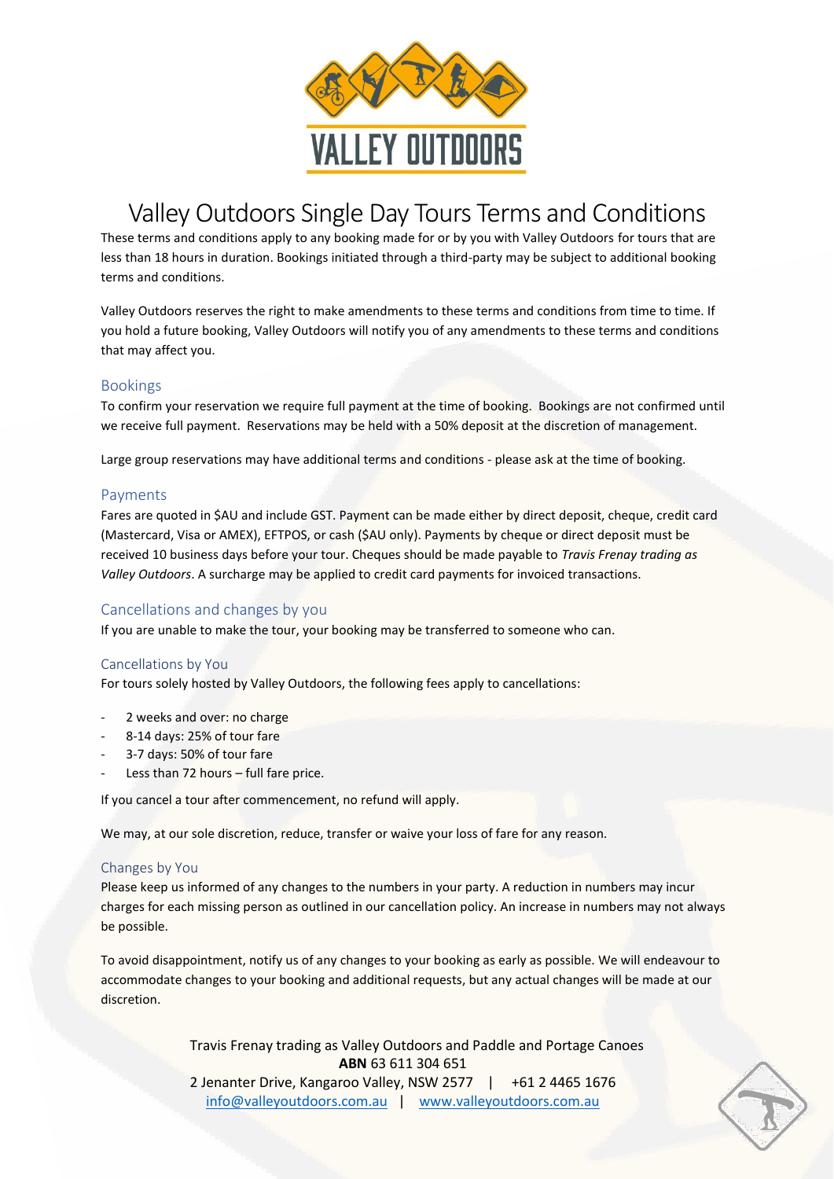

# Valley Outdoors Single Day Tours Terms and Conditions

These terms and conditions apply to any booking made for or by you with Valley Outdoors for tours that are less than 18 hours in duration. Bookings initiated through a third-party may be subject to additional booking terms and conditions.

Valley Outdoors reserves the right to make amendments to these terms and conditions from time to time. If you hold a future booking, Valley Outdoors will notify you of any amendments to these terms and conditions that may affect you.

# Bookings

To confirm your reservation we require full payment at the time of booking. Bookings are not confirmed until we receive full payment. Reservations may be held with a 50% deposit at the discretion of management.

Large group reservations may have additional terms and conditions - please ask at the time of booking.

# Payments

Fares are quoted in \$AU and include GST. Payment can be made either by direct deposit, cheque, credit card (Mastercard, Visa or AMEX), EFTPOS, or cash (\$AU only). Payments by cheque or direct deposit must be received 10 business days before your tour. Cheques should be made payable to *Travis Frenay trading as Valley Outdoors*. A surcharge may be applied to credit card payments for invoiced transactions.

# Cancellations and changes by you

If you are unable to make the tour, your booking may be transferred to someone who can.

# Cancellations by You

For tours solely hosted by Valley Outdoors, the following fees apply to cancellations:

- 2 weeks and over: no charge
- 8-14 days: 25% of tour fare
- 3-7 days: 50% of tour fare
- Less than 72 hours  $-$  full fare price.

If you cancel a tour after commencement, no refund will apply.

We may, at our sole discretion, reduce, transfer or waive your loss of fare for any reason.

# Changes by You

Please keep us informed of any changes to the numbers in your party. A reduction in numbers may incur charges for each missing person as outlined in our cancellation policy. An increase in numbers may not always be possible.

To avoid disappointment, notify us of any changes to your booking as early as possible. We will endeavour to accommodate changes to your booking and additional requests, but any actual changes will be made at our discretion.

> Travis Frenay trading as Valley Outdoors and Paddle and Portage Canoes **ABN** 63 611 304 651 2 Jenanter Drive, Kangaroo Valley, NSW 2577 | +61 2 4465 1676

[info@valleyoutdoors.com.au](mailto:info@valleyoutdoors.com.au) | [www.valleyoutdoors.com.au](http://www.valleyoutdoors.com.au/)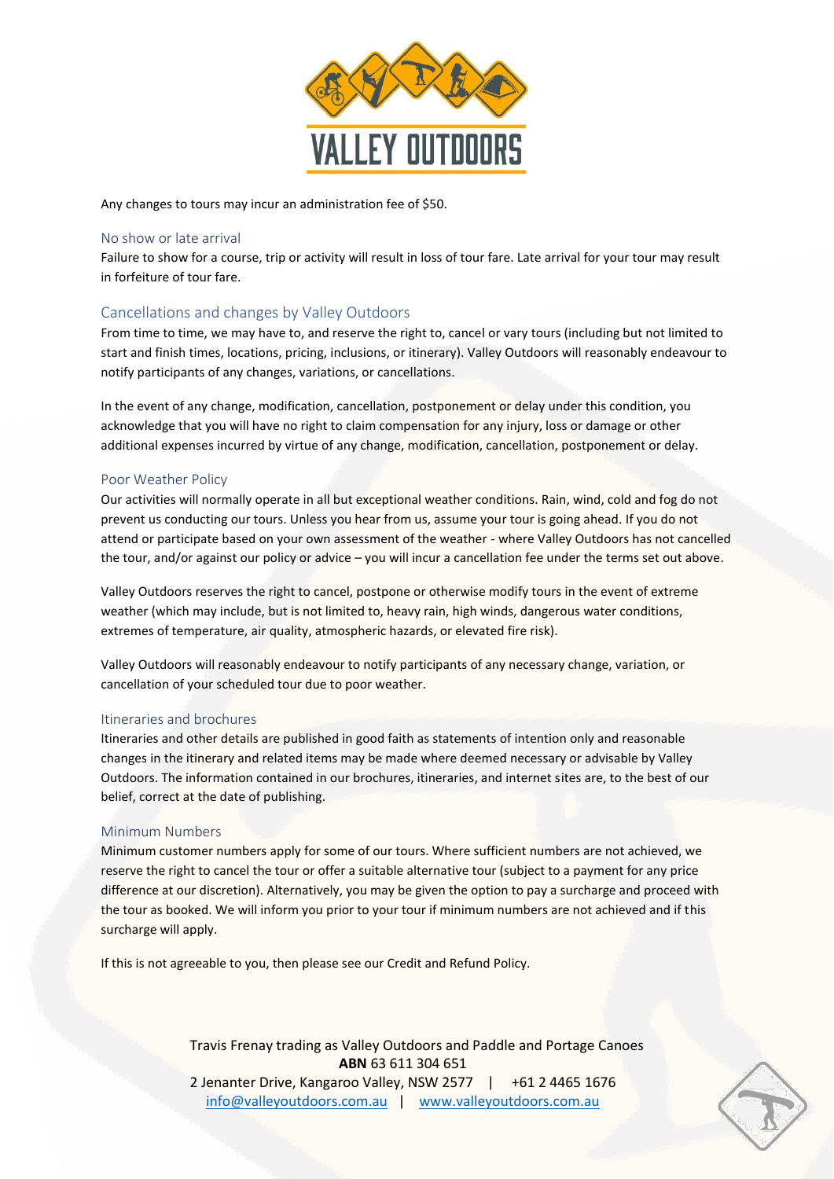

Any changes to tours may incur an administration fee of \$50.

#### No show or late arrival

Failure to show for a course, trip or activity will result in loss of tour fare. Late arrival for your tour may result in forfeiture of tour fare.

# Cancellations and changes by Valley Outdoors

From time to time, we may have to, and reserve the right to, cancel or vary tours (including but not limited to start and finish times, locations, pricing, inclusions, or itinerary). Valley Outdoors will reasonably endeavour to notify participants of any changes, variations, or cancellations.

In the event of any change, modification, cancellation, postponement or delay under this condition, you acknowledge that you will have no right to claim compensation for any injury, loss or damage or other additional expenses incurred by virtue of any change, modification, cancellation, postponement or delay.

### Poor Weather Policy

Our activities will normally operate in all but exceptional weather conditions. Rain, wind, cold and fog do not prevent us conducting our tours. Unless you hear from us, assume your tour is going ahead. If you do not attend or participate based on your own assessment of the weather - where Valley Outdoors has not cancelled the tour, and/or against our policy or advice – you will incur a cancellation fee under the terms set out above.

Valley Outdoors reserves the right to cancel, postpone or otherwise modify tours in the event of extreme weather (which may include, but is not limited to, heavy rain, high winds, dangerous water conditions, extremes of temperature, air quality, atmospheric hazards, or elevated fire risk).

Valley Outdoors will reasonably endeavour to notify participants of any necessary change, variation, or cancellation of your scheduled tour due to poor weather.

#### Itineraries and brochures

Itineraries and other details are published in good faith as statements of intention only and reasonable changes in the itinerary and related items may be made where deemed necessary or advisable by Valley Outdoors. The information contained in our brochures, itineraries, and internet sites are, to the best of our belief, correct at the date of publishing.

#### Minimum Numbers

Minimum customer numbers apply for some of our tours. Where sufficient numbers are not achieved, we reserve the right to cancel the tour or offer a suitable alternative tour (subject to a payment for any price difference at our discretion). Alternatively, you may be given the option to pay a surcharge and proceed with the tour as booked. We will inform you prior to your tour if minimum numbers are not achieved and if this surcharge will apply.

If this is not agreeable to you, then please see our Credit and Refund Policy.

Travis Frenay trading as Valley Outdoors and Paddle and Portage Canoes **ABN** 63 611 304 651 2 Jenanter Drive, Kangaroo Valley, NSW 2577 | +61 2 4465 1676 [info@valleyoutdoors.com.au](mailto:info@valleyoutdoors.com.au) | [www.valleyoutdoors.com.au](http://www.valleyoutdoors.com.au/)

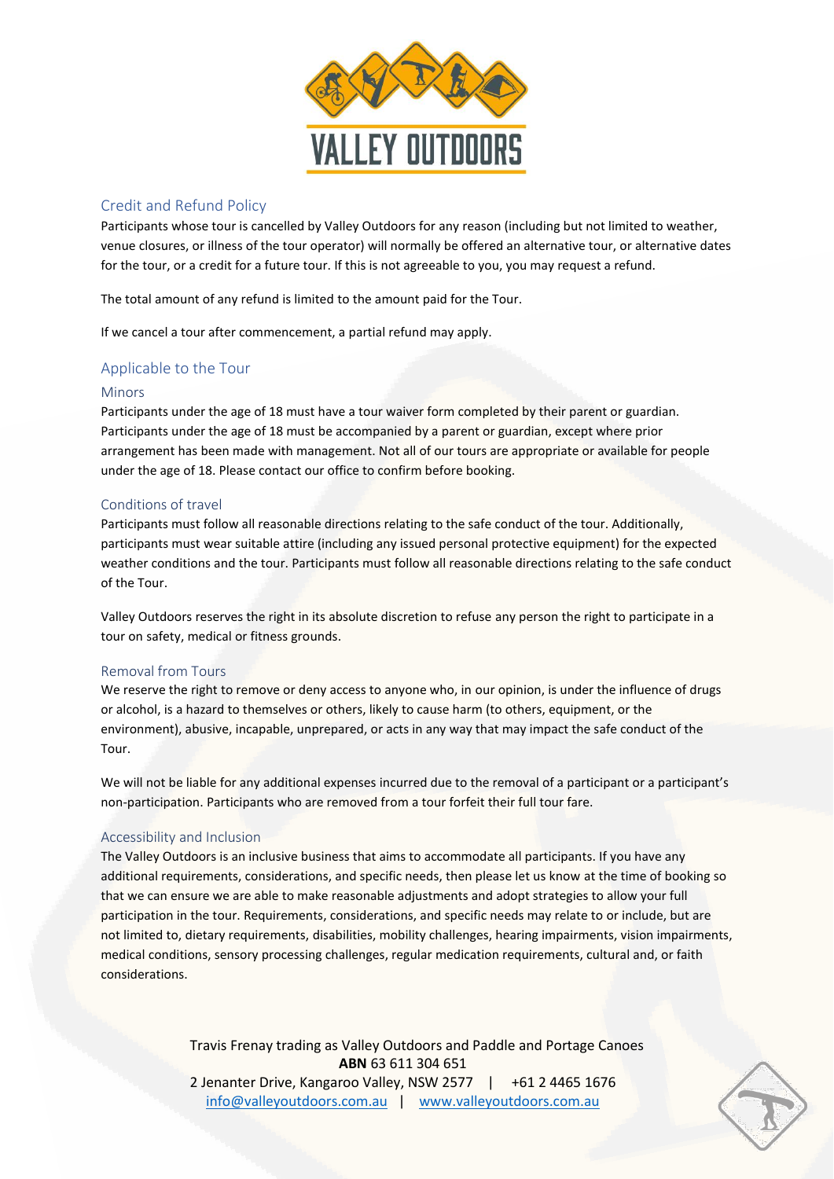

# Credit and Refund Policy

Participants whose tour is cancelled by Valley Outdoors for any reason (including but not limited to weather, venue closures, or illness of the tour operator) will normally be offered an alternative tour, or alternative dates for the tour, or a credit for a future tour. If this is not agreeable to you, you may request a refund.

The total amount of any refund is limited to the amount paid for the Tour.

If we cancel a tour after commencement, a partial refund may apply.

# Applicable to the Tour

### Minors

Participants under the age of 18 must have a tour waiver form completed by their parent or guardian. Participants under the age of 18 must be accompanied by a parent or guardian, except where prior arrangement has been made with management. Not all of our tours are appropriate or available for people under the age of 18. Please contact our office to confirm before booking.

# Conditions of travel

Participants must follow all reasonable directions relating to the safe conduct of the tour. Additionally, participants must wear suitable attire (including any issued personal protective equipment) for the expected weather conditions and the tour. Participants must follow all reasonable directions relating to the safe conduct of the Tour.

Valley Outdoors reserves the right in its absolute discretion to refuse any person the right to participate in a tour on safety, medical or fitness grounds.

#### Removal from Tours

We reserve the right to remove or deny access to anyone who, in our opinion, is under the influence of drugs or alcohol, is a hazard to themselves or others, likely to cause harm (to others, equipment, or the environment), abusive, incapable, unprepared, or acts in any way that may impact the safe conduct of the Tour.

We will not be liable for any additional expenses incurred due to the removal of a participant or a participant's non-participation. Participants who are removed from a tour forfeit their full tour fare.

# Accessibility and Inclusion

The Valley Outdoors is an inclusive business that aims to accommodate all participants. If you have any additional requirements, considerations, and specific needs, then please let us know at the time of booking so that we can ensure we are able to make reasonable adjustments and adopt strategies to allow your full participation in the tour. Requirements, considerations, and specific needs may relate to or include, but are not limited to, dietary requirements, disabilities, mobility challenges, hearing impairments, vision impairments, medical conditions, sensory processing challenges, regular medication requirements, cultural and, or faith considerations.

> Travis Frenay trading as Valley Outdoors and Paddle and Portage Canoes **ABN** 63 611 304 651 2 Jenanter Drive, Kangaroo Valley, NSW 2577 | +61 2 4465 1676 [info@valleyoutdoors.com.au](mailto:info@valleyoutdoors.com.au) | [www.valleyoutdoors.com.au](http://www.valleyoutdoors.com.au/)